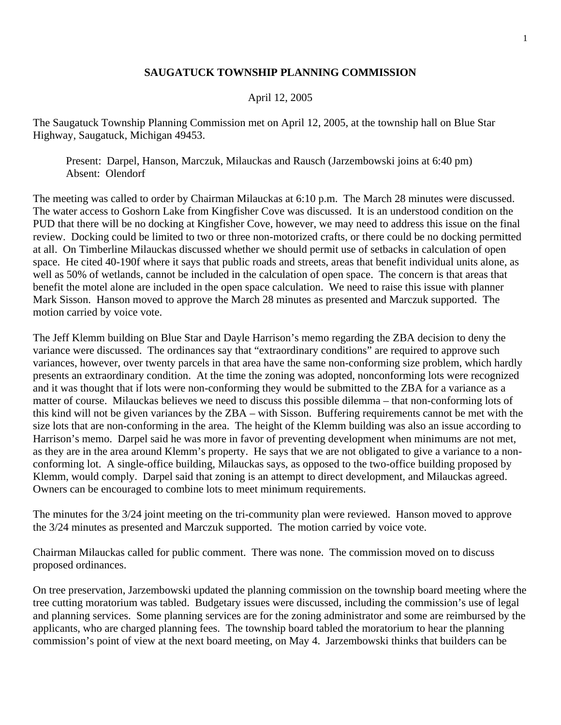## **SAUGATUCK TOWNSHIP PLANNING COMMISSION**

## April 12, 2005

The Saugatuck Township Planning Commission met on April 12, 2005, at the township hall on Blue Star Highway, Saugatuck, Michigan 49453.

 Present: Darpel, Hanson, Marczuk, Milauckas and Rausch (Jarzembowski joins at 6:40 pm) Absent: Olendorf

The meeting was called to order by Chairman Milauckas at 6:10 p.m. The March 28 minutes were discussed. The water access to Goshorn Lake from Kingfisher Cove was discussed. It is an understood condition on the PUD that there will be no docking at Kingfisher Cove, however, we may need to address this issue on the final review. Docking could be limited to two or three non-motorized crafts, or there could be no docking permitted at all. On Timberline Milauckas discussed whether we should permit use of setbacks in calculation of open space. He cited 40-190f where it says that public roads and streets, areas that benefit individual units alone, as well as 50% of wetlands, cannot be included in the calculation of open space. The concern is that areas that benefit the motel alone are included in the open space calculation. We need to raise this issue with planner Mark Sisson. Hanson moved to approve the March 28 minutes as presented and Marczuk supported. The motion carried by voice vote.

The Jeff Klemm building on Blue Star and Dayle Harrison's memo regarding the ZBA decision to deny the variance were discussed. The ordinances say that "extraordinary conditions" are required to approve such variances, however, over twenty parcels in that area have the same non-conforming size problem, which hardly presents an extraordinary condition. At the time the zoning was adopted, nonconforming lots were recognized and it was thought that if lots were non-conforming they would be submitted to the ZBA for a variance as a matter of course. Milauckas believes we need to discuss this possible dilemma – that non-conforming lots of this kind will not be given variances by the ZBA – with Sisson. Buffering requirements cannot be met with the size lots that are non-conforming in the area. The height of the Klemm building was also an issue according to Harrison's memo. Darpel said he was more in favor of preventing development when minimums are not met, as they are in the area around Klemm's property. He says that we are not obligated to give a variance to a nonconforming lot. A single-office building, Milauckas says, as opposed to the two-office building proposed by Klemm, would comply. Darpel said that zoning is an attempt to direct development, and Milauckas agreed. Owners can be encouraged to combine lots to meet minimum requirements.

The minutes for the 3/24 joint meeting on the tri-community plan were reviewed. Hanson moved to approve the 3/24 minutes as presented and Marczuk supported. The motion carried by voice vote.

Chairman Milauckas called for public comment. There was none. The commission moved on to discuss proposed ordinances.

On tree preservation, Jarzembowski updated the planning commission on the township board meeting where the tree cutting moratorium was tabled. Budgetary issues were discussed, including the commission's use of legal and planning services. Some planning services are for the zoning administrator and some are reimbursed by the applicants, who are charged planning fees. The township board tabled the moratorium to hear the planning commission's point of view at the next board meeting, on May 4. Jarzembowski thinks that builders can be